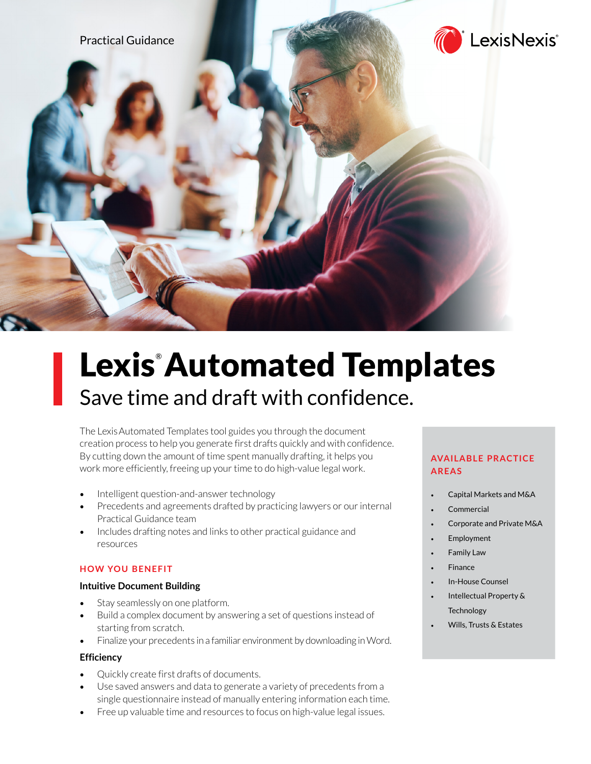

# Lexis<sup>®</sup> Automated Templates Save time and draft with confidence.

The LexisAutomated Templates tool guides you through the document creation process to help you generate first drafts quickly and with confidence. By cutting down the amount of time spent manually drafting, it helps you work more efficiently, freeing up your time to do high-value legal work.

- Intelligent question-and-answer technology
- Precedents and agreements drafted by practicing lawyers or our internal Practical Guidance team
- Includes drafting notes and links to other practical guidance and resources

# **HOW YOU BENEFIT**

# **Intuitive Document Building**

- Stay seamlessly on one platform.
- Build a complex document by answering a set of questions instead of starting from scratch.
- Finalize your precedents in a familiar environment by downloading in Word.

# **Efficiency**

- Quickly create first drafts of documents.
- Use saved answers and data to generate a variety of precedents from a single questionnaire instead of manually entering information each time.
- Free up valuable time and resources to focus on high-value legal issues.

# **AVAILABLE PRACTICE AREAS**

- Capital Markets and M&A
- **Commercial**
- Corporate and Private M&A
- **Employment**
- **Family Law**
- **Finance**
- In-House Counsel
- Intellectual Property & **Technology**
- Wills, Trusts & Estates